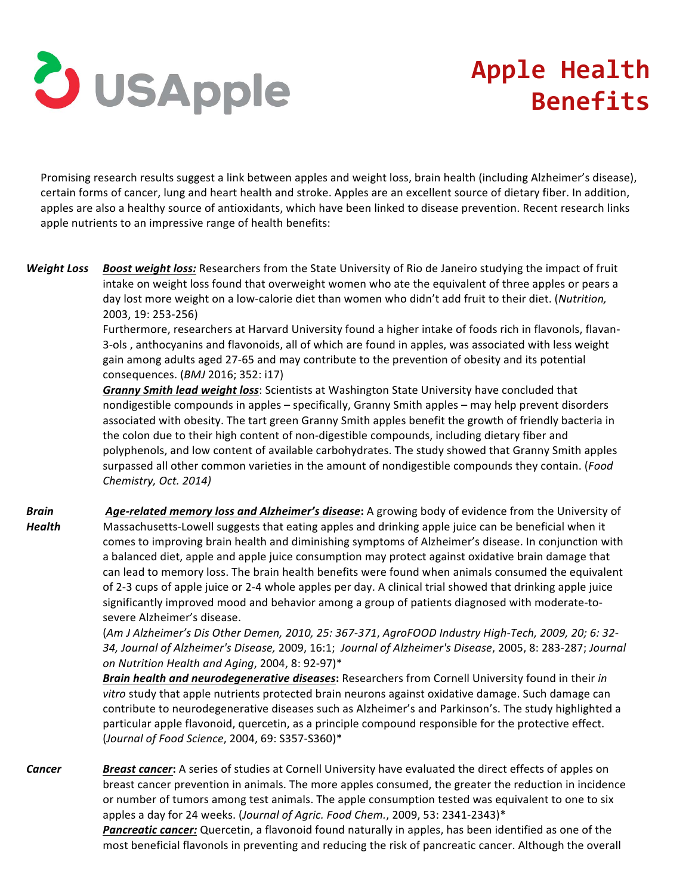

## **Apple Health Benefits**

Promising research results suggest a link between apples and weight loss, brain health (including Alzheimer's disease), certain forms of cancer, lung and heart health and stroke. Apples are an excellent source of dietary fiber. In addition, apples are also a healthy source of antioxidants, which have been linked to disease prevention. Recent research links apple nutrients to an impressive range of health benefits:

**Weight Loss Boost weight loss:** Researchers from the State University of Rio de Janeiro studying the impact of fruit intake on weight loss found that overweight women who ate the equivalent of three apples or pears a day lost more weight on a low-calorie diet than women who didn't add fruit to their diet. (Nutrition, 2003, 19: 253-256)

> Furthermore, researchers at Harvard University found a higher intake of foods rich in flavonols, flavan-3-ols, anthocyanins and flavonoids, all of which are found in apples, was associated with less weight gain among adults aged 27-65 and may contribute to the prevention of obesity and its potential consequences. (*BMJ* 2016; 352: i17)

> **Granny Smith lead weight loss**: Scientists at Washington State University have concluded that nondigestible compounds in apples – specifically, Granny Smith apples – may help prevent disorders associated with obesity. The tart green Granny Smith apples benefit the growth of friendly bacteria in the colon due to their high content of non-digestible compounds, including dietary fiber and polyphenols, and low content of available carbohydrates. The study showed that Granny Smith apples surpassed all other common varieties in the amount of nondigestible compounds they contain. (Food *Chemistry, Oct. 2014)*

*Brain Health* Age-related memory loss and Alzheimer's disease: A growing body of evidence from the University of Massachusetts-Lowell suggests that eating apples and drinking apple juice can be beneficial when it comes to improving brain health and diminishing symptoms of Alzheimer's disease. In conjunction with a balanced diet, apple and apple juice consumption may protect against oxidative brain damage that can lead to memory loss. The brain health benefits were found when animals consumed the equivalent of 2-3 cups of apple juice or 2-4 whole apples per day. A clinical trial showed that drinking apple juice significantly improved mood and behavior among a group of patients diagnosed with moderate-tosevere Alzheimer's disease.

> (*Am J Alzheimer's Dis Other Demen, 2010, 25: 367-371*, *AgroFOOD Industry High-Tech, 2009, 20; 6: 32- 34, Journal of Alzheimer's Disease,* 2009, 16:1; *Journal of Alzheimer's Disease*, 2005, 8: 283-287; *Journal on Nutrition Health and Aging*, 2004, 8: 92-97)\*

> *Brain health and neurodegenerative diseases:* Researchers from Cornell University found in their *in* vitro study that apple nutrients protected brain neurons against oxidative damage. Such damage can contribute to neurodegenerative diseases such as Alzheimer's and Parkinson's. The study highlighted a particular apple flavonoid, quercetin, as a principle compound responsible for the protective effect. (*Journal of Food Science*, 2004, 69: S357-S360)\*

**Cancer Breast cancer:** A series of studies at Cornell University have evaluated the direct effects of apples on breast cancer prevention in animals. The more apples consumed, the greater the reduction in incidence or number of tumors among test animals. The apple consumption tested was equivalent to one to six apples a day for 24 weeks. (Journal of Agric. Food Chem., 2009, 53: 2341-2343)\* **Pancreatic cancer:** Quercetin, a flavonoid found naturally in apples, has been identified as one of the most beneficial flavonols in preventing and reducing the risk of pancreatic cancer. Although the overall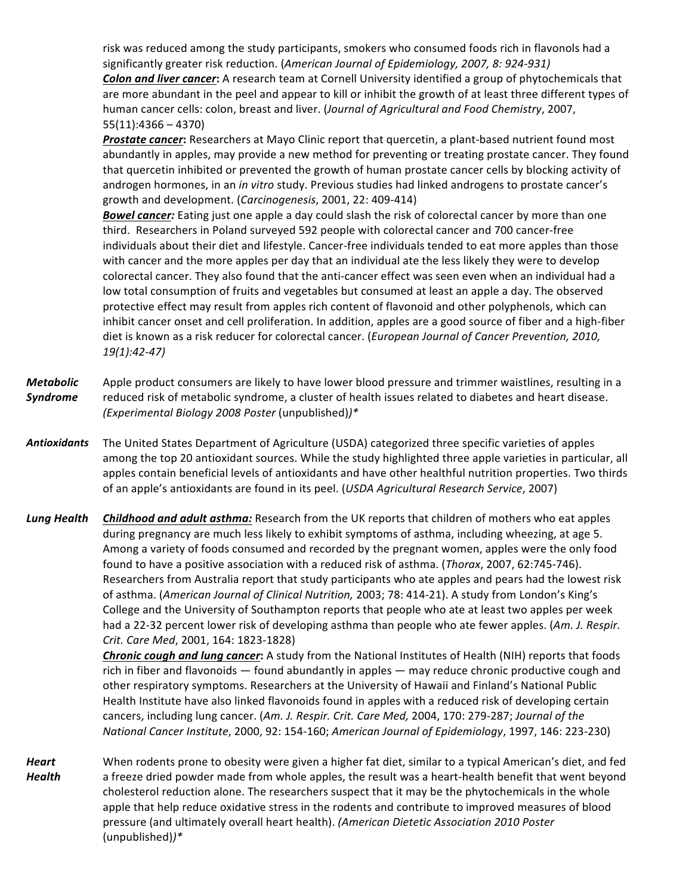risk was reduced among the study participants, smokers who consumed foods rich in flavonols had a significantly greater risk reduction. (American Journal of Epidemiology, 2007, 8: 924-931) **Colon and liver cancer:** A research team at Cornell University identified a group of phytochemicals that are more abundant in the peel and appear to kill or inhibit the growth of at least three different types of human cancer cells: colon, breast and liver. (*Journal of Agricultural and Food Chemistry*, 2007,  $55(11):4366 - 4370$ 

**Prostate cancer:** Researchers at Mayo Clinic report that quercetin, a plant-based nutrient found most abundantly in apples, may provide a new method for preventing or treating prostate cancer. They found that quercetin inhibited or prevented the growth of human prostate cancer cells by blocking activity of androgen hormones, in an *in vitro* study. Previous studies had linked androgens to prostate cancer's growth and development. (*Carcinogenesis*, 2001, 22: 409-414)

**Bowel cancer:** Eating just one apple a day could slash the risk of colorectal cancer by more than one third. Researchers in Poland surveyed 592 people with colorectal cancer and 700 cancer-free individuals about their diet and lifestyle. Cancer-free individuals tended to eat more apples than those with cancer and the more apples per day that an individual ate the less likely they were to develop colorectal cancer. They also found that the anti-cancer effect was seen even when an individual had a low total consumption of fruits and vegetables but consumed at least an apple a day. The observed protective effect may result from apples rich content of flavonoid and other polyphenols, which can inhibit cancer onset and cell proliferation. In addition, apples are a good source of fiber and a high-fiber diet is known as a risk reducer for colorectal cancer. (*European Journal of Cancer Prevention, 2010, 19(1):42-47)*

*Metabolic Syndrome* Apple product consumers are likely to have lower blood pressure and trimmer waistlines, resulting in a reduced risk of metabolic syndrome, a cluster of health issues related to diabetes and heart disease. *(Experimental Biology 2008 Poster* (unpublished)*)\**

Antioxidants The United States Department of Agriculture (USDA) categorized three specific varieties of apples among the top 20 antioxidant sources. While the study highlighted three apple varieties in particular, all apples contain beneficial levels of antioxidants and have other healthful nutrition properties. Two thirds of an apple's antioxidants are found in its peel. (*USDA Agricultural Research Service*, 2007)

**Lung Health Childhood and adult asthma:** Research from the UK reports that children of mothers who eat apples during pregnancy are much less likely to exhibit symptoms of asthma, including wheezing, at age 5. Among a variety of foods consumed and recorded by the pregnant women, apples were the only food found to have a positive association with a reduced risk of asthma. (Thorax, 2007, 62:745-746). Researchers from Australia report that study participants who ate apples and pears had the lowest risk of asthma. (American Journal of Clinical Nutrition, 2003; 78: 414-21). A study from London's King's College and the University of Southampton reports that people who ate at least two apples per week had a 22-32 percent lower risk of developing asthma than people who ate fewer apples. (Am. J. Respir. *Crit. Care Med*, 2001, 164: 1823-1828)

> **Chronic cough and lung cancer**: A study from the National Institutes of Health (NIH) reports that foods rich in fiber and flavonoids — found abundantly in apples — may reduce chronic productive cough and other respiratory symptoms. Researchers at the University of Hawaii and Finland's National Public Health Institute have also linked flavonoids found in apples with a reduced risk of developing certain cancers, including lung cancer. (Am. J. Respir. Crit. Care Med, 2004, 170: 279-287; Journal of the *National Cancer Institute*, 2000, 92: 154-160; *American Journal of Epidemiology*, 1997, 146: 223-230)

*Heart Health* When rodents prone to obesity were given a higher fat diet, similar to a typical American's diet, and fed a freeze dried powder made from whole apples, the result was a heart-health benefit that went beyond cholesterol reduction alone. The researchers suspect that it may be the phytochemicals in the whole apple that help reduce oxidative stress in the rodents and contribute to improved measures of blood pressure (and ultimately overall heart health). *(American Dietetic Association 2010 Poster* (unpublished)*)\**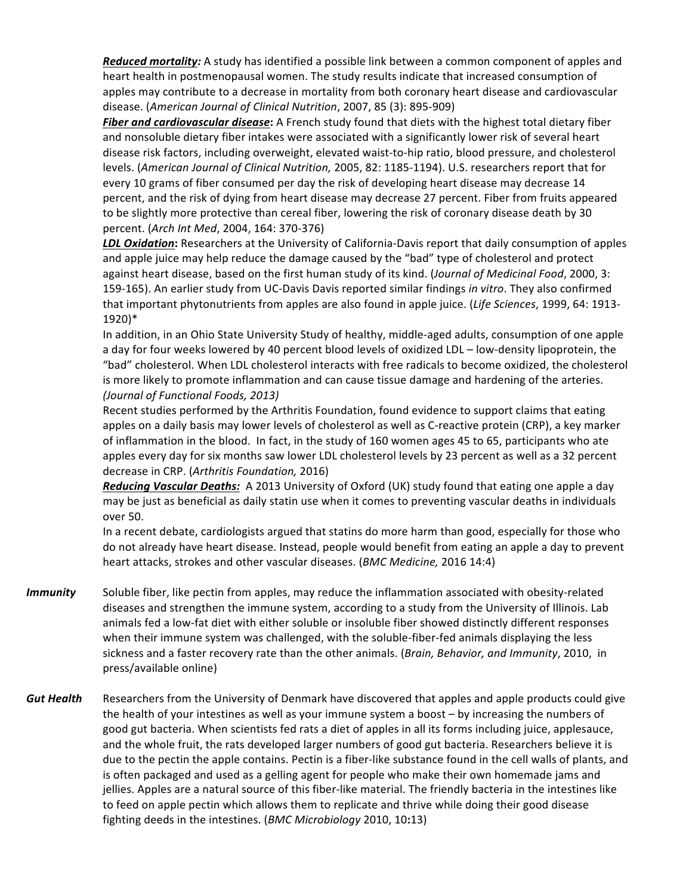**Reduced mortality:** A study has identified a possible link between a common component of apples and heart health in postmenopausal women. The study results indicate that increased consumption of apples may contribute to a decrease in mortality from both coronary heart disease and cardiovascular disease. (American Journal of Clinical Nutrition, 2007, 85 (3): 895-909)

**Fiber and cardiovascular disease:** A French study found that diets with the highest total dietary fiber and nonsoluble dietary fiber intakes were associated with a significantly lower risk of several heart disease risk factors, including overweight, elevated waist-to-hip ratio, blood pressure, and cholesterol levels. (American Journal of Clinical Nutrition, 2005, 82: 1185-1194). U.S. researchers report that for every 10 grams of fiber consumed per day the risk of developing heart disease may decrease 14 percent, and the risk of dying from heart disease may decrease 27 percent. Fiber from fruits appeared to be slightly more protective than cereal fiber, lowering the risk of coronary disease death by 30 percent. (*Arch Int Med*, 2004, 164: 370-376)

*LDL Oxidation*: Researchers at the University of California-Davis report that daily consumption of apples and apple juice may help reduce the damage caused by the "bad" type of cholesterol and protect against heart disease, based on the first human study of its kind. (Journal of Medicinal Food, 2000, 3: 159-165). An earlier study from UC-Davis Davis reported similar findings *in vitro*. They also confirmed that important phytonutrients from apples are also found in apple juice. (Life Sciences, 1999, 64: 1913-1920)\*

In addition, in an Ohio State University Study of healthy, middle-aged adults, consumption of one apple a day for four weeks lowered by 40 percent blood levels of oxidized LDL – low-density lipoprotein, the "bad" cholesterol. When LDL cholesterol interacts with free radicals to become oxidized, the cholesterol is more likely to promote inflammation and can cause tissue damage and hardening of the arteries. *(Journal of Functional Foods, 2013)*

Recent studies performed by the Arthritis Foundation, found evidence to support claims that eating apples on a daily basis may lower levels of cholesterol as well as C-reactive protein (CRP), a key marker of inflammation in the blood. In fact, in the study of 160 women ages 45 to 65, participants who ate apples every day for six months saw lower LDL cholesterol levels by 23 percent as well as a 32 percent decrease in CRP. (Arthritis Foundation, 2016)

*Reducing Vascular Deaths:* A 2013 University of Oxford (UK) study found that eating one apple a day may be just as beneficial as daily statin use when it comes to preventing vascular deaths in individuals over 50.

In a recent debate, cardiologists argued that statins do more harm than good, especially for those who do not already have heart disease. Instead, people would benefit from eating an apple a day to prevent heart attacks, strokes and other vascular diseases. (BMC Medicine, 2016 14:4)

- *Immunity* Soluble fiber, like pectin from apples, may reduce the inflammation associated with obesity-related diseases and strengthen the immune system, according to a study from the University of Illinois. Lab animals fed a low-fat diet with either soluble or insoluble fiber showed distinctly different responses when their immune system was challenged, with the soluble-fiber-fed animals displaying the less sickness and a faster recovery rate than the other animals. (*Brain, Behavior, and Immunity*, 2010, in press/available online)
- **Gut Health** Researchers from the University of Denmark have discovered that apples and apple products could give the health of your intestines as well as your immune system a boost - by increasing the numbers of good gut bacteria. When scientists fed rats a diet of apples in all its forms including juice, applesauce, and the whole fruit, the rats developed larger numbers of good gut bacteria. Researchers believe it is due to the pectin the apple contains. Pectin is a fiber-like substance found in the cell walls of plants, and is often packaged and used as a gelling agent for people who make their own homemade jams and jellies. Apples are a natural source of this fiber-like material. The friendly bacteria in the intestines like to feed on apple pectin which allows them to replicate and thrive while doing their good disease fighting deeds in the intestines. (*BMC Microbiology* 2010, 10:13)